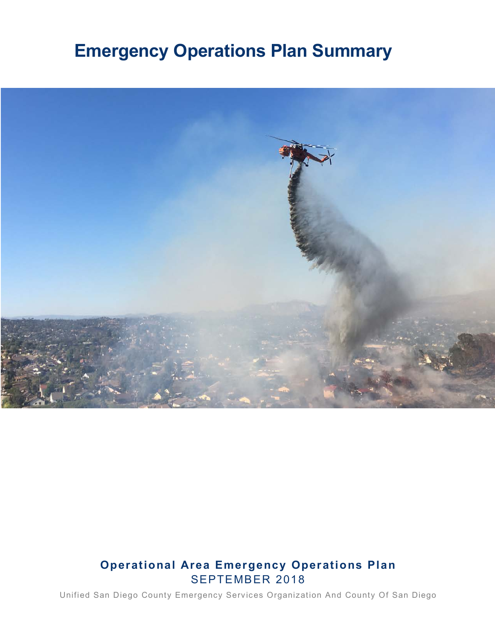# **Emergency Operations Plan Summary**



## **Operational Area Emergency Operations Plan** SEPTEMBER 2018

Unified San Diego County Emergency Services Organization And County Of San Diego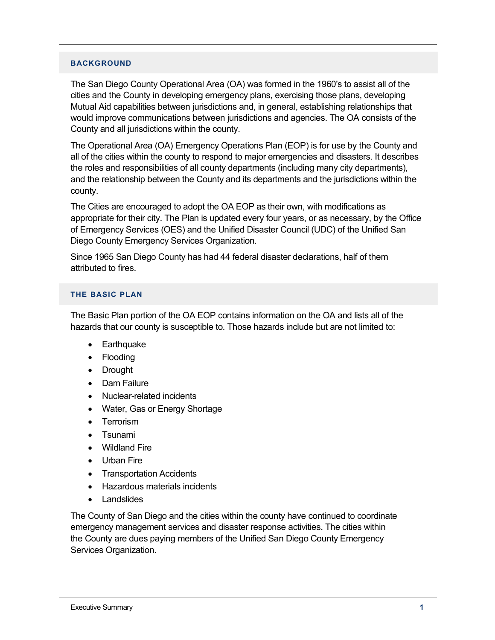#### **BACKGROUND**

The San Diego County Operational Area (OA) was formed in the 1960's to assist all of the cities and the County in developing emergency plans, exercising those plans, developing Mutual Aid capabilities between jurisdictions and, in general, establishing relationships that would improve communications between jurisdictions and agencies. The OA consists of the County and all jurisdictions within the county.

The Operational Area (OA) Emergency Operations Plan (EOP) is for use by the County and all of the cities within the county to respond to major emergencies and disasters. It describes the roles and responsibilities of all county departments (including many city departments), and the relationship between the County and its departments and the jurisdictions within the county.

The Cities are encouraged to adopt the OA EOP as their own, with modifications as appropriate for their city. The Plan is updated every four years, or as necessary, by the Office of Emergency Services (OES) and the Unified Disaster Council (UDC) of the Unified San Diego County Emergency Services Organization.

Since 1965 San Diego County has had 44 federal disaster declarations, half of them attributed to fires.

#### **THE BASIC PLAN**

The Basic Plan portion of the OA EOP contains information on the OA and lists all of the hazards that our county is susceptible to. Those hazards include but are not limited to:

- Earthquake
- Flooding
- Drought
- Dam Failure
- Nuclear-related incidents
- Water, Gas or Energy Shortage
- Terrorism
- Tsunami
- Wildland Fire
- Urban Fire
- Transportation Accidents
- Hazardous materials incidents
- Landslides

The County of San Diego and the cities within the county have continued to coordinate emergency management services and disaster response activities. The cities within the County are dues paying members of the Unified San Diego County Emergency Services Organization.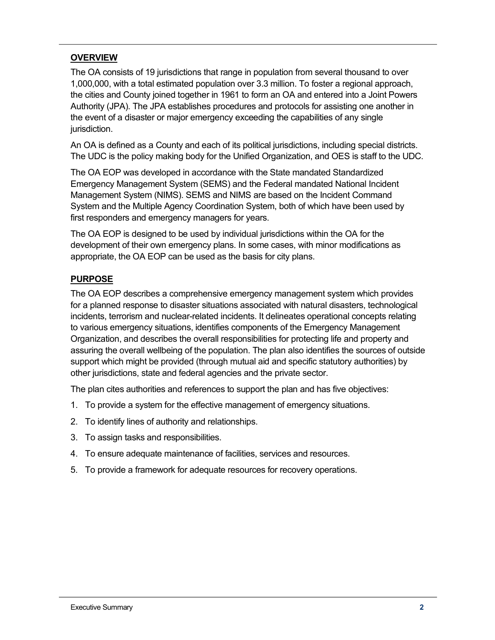## **OVERVIEW**

The OA consists of 19 jurisdictions that range in population from several thousand to over 1,000,000, with a total estimated population over 3.3 million. To foster a regional approach, the cities and County joined together in 1961 to form an OA and entered into a Joint Powers Authority (JPA). The JPA establishes procedures and protocols for assisting one another in the event of a disaster or major emergency exceeding the capabilities of any single jurisdiction.

An OA is defined as a County and each of its political jurisdictions, including special districts. The UDC is the policy making body for the Unified Organization, and OES is staff to the UDC.

The OA EOP was developed in accordance with the State mandated Standardized Emergency Management System (SEMS) and the Federal mandated National Incident Management System (NIMS). SEMS and NIMS are based on the Incident Command System and the Multiple Agency Coordination System, both of which have been used by first responders and emergency managers for years.

The OA EOP is designed to be used by individual jurisdictions within the OA for the development of their own emergency plans. In some cases, with minor modifications as appropriate, the OA EOP can be used as the basis for city plans.

#### **PURPOSE**

The OA EOP describes a comprehensive emergency management system which provides for a planned response to disaster situations associated with natural disasters, technological incidents, terrorism and nuclear-related incidents. It delineates operational concepts relating to various emergency situations, identifies components of the Emergency Management Organization, and describes the overall responsibilities for protecting life and property and assuring the overall wellbeing of the population. The plan also identifies the sources of outside support which might be provided (through mutual aid and specific statutory authorities) by other jurisdictions, state and federal agencies and the private sector.

The plan cites authorities and references to support the plan and has five objectives:

- 1. To provide a system for the effective management of emergency situations.
- 2. To identify lines of authority and relationships.
- 3. To assign tasks and responsibilities.
- 4. To ensure adequate maintenance of facilities, services and resources.
- 5. To provide a framework for adequate resources for recovery operations.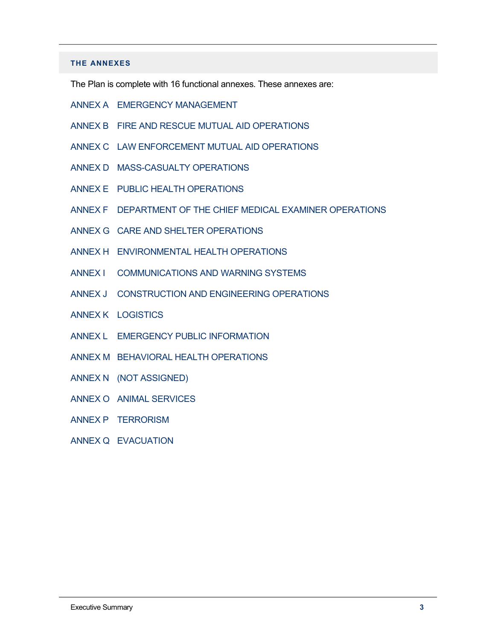#### **THE ANNEXES**

The Plan is complete with 16 functional annexes. These annexes are:

- ANNEX A EMERGENCY MANAGEMENT
- ANNEX B FIRE AND RESCUE MUTUAL AID OPERATIONS
- ANNEX C LAW ENFORCEMENT MUTUAL AID OPERATIONS
- ANNEX D MASS-CASUALTY OPERATIONS
- ANNEX E PUBLIC HEALTH OPERATIONS
- ANNEX F DEPARTMENT OF THE CHIEF MEDICAL EXAMINER OPERATIONS
- ANNEX G CARE AND SHELTER OPERATIONS
- ANNEX H ENVIRONMENTAL HEALTH OPERATIONS
- ANNEX I COMMUNICATIONS AND WARNING SYSTEMS
- ANNEX J CONSTRUCTION AND ENGINEERING OPERATIONS
- ANNEX K LOGISTICS
- ANNEX L EMERGENCY PUBLIC INFORMATION
- ANNEX M BEHAVIORAL HEALTH OPERATIONS
- ANNEX N (NOT ASSIGNED)
- ANNEX O ANIMAL SERVICES
- ANNEX P TERRORISM
- ANNEX Q EVACUATION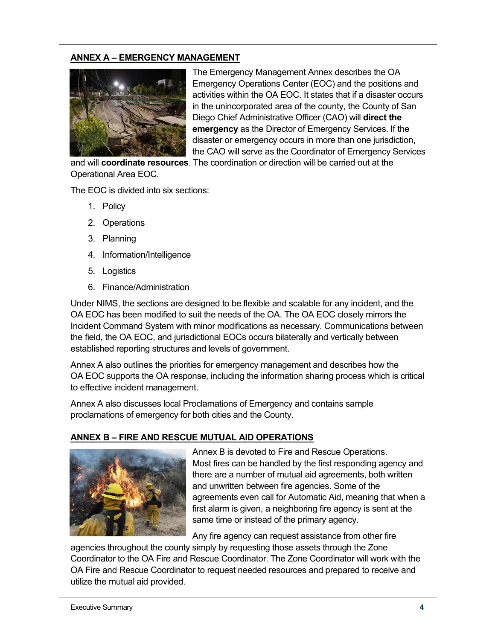## **ANNEX A – EMERGENCY MANAGEMENT**



The Emergency Management Annex describes the OA Emergency Operations Center (EOC) and the positions and activities within the OA EOC. It states that if a disaster occurs in the unincorporated area of the county, the County of San Diego Chief Administrative Officer (CAO) will **direct the emergency** as the Director of Emergency Services. If the disaster or emergency occurs in more than one jurisdiction, the CAO will serve as the Coordinator of Emergency Services

and will **coordinate resources**. The coordination or direction will be carried out at the Operational Area EOC.

The EOC is divided into six sections:

- 1. Policy
- 2. Operations
- 3. Planning
- 4. Information/Intelligence
- 5. Logistics
- 6. Finance/Administration

Under NIMS, the sections are designed to be flexible and scalable for any incident, and the OA EOC has been modified to suit the needs of the OA. The OA EOC closely mirrors the Incident Command System with minor modifications as necessary. Communications between the field, the OA EOC, and jurisdictional EOCs occurs bilaterally and vertically between established reporting structures and levels of government.

Annex A also outlines the priorities for emergency management and describes how the OA EOC supports the OA response, including the information sharing process which is critical to effective incident management.

Annex A also discusses local Proclamations of Emergency and contains sample proclamations of emergency for both cities and the County.

#### **ANNEX B – FIRE AND RESCUE MUTUAL AID OPERATIONS**



Annex B is devoted to Fire and Rescue Operations. Most fires can be handled by the first responding agency and there are a number of mutual aid agreements, both written and unwritten between fire agencies. Some of the agreements even call for Automatic Aid, meaning that when a first alarm is given, a neighboring fire agency is sent at the same time or instead of the primary agency.

Any fire agency can request assistance from other fire

agencies throughout the county simply by requesting those assets through the Zone Coordinator to the OA Fire and Rescue Coordinator. The Zone Coordinator will work with the OA Fire and Rescue Coordinator to request needed resources and prepared to receive and utilize the mutual aid provided.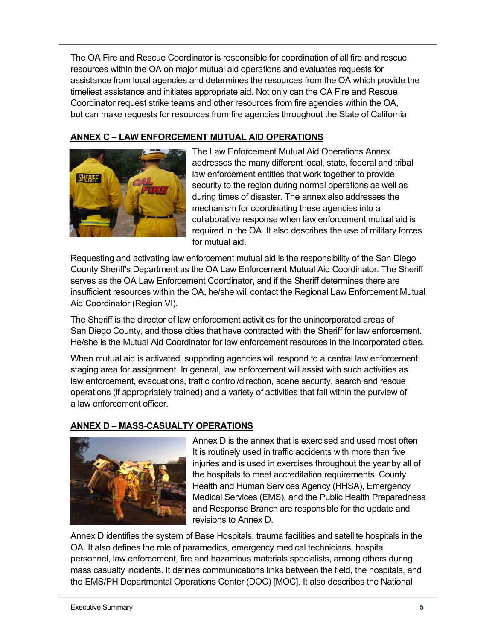The OA Fire and Rescue Coordinator is responsible for coordination of all fire and rescue resources within the OA on major mutual aid operations and evaluates requests for assistance from local agencies and determines the resources from the OA which provide the timeliest assistance and initiates appropriate aid. Not only can the OA Fire and Rescue Coordinator request strike teams and other resources from fire agencies within the OA, but can make requests for resources from fire agencies throughout the State of California.

## **ANNEX C – LAW ENFORCEMENT MUTUAL AID OPERATIONS**



The Law Enforcement Mutual Aid Operations Annex addresses the many different local, state, federal and tribal law enforcement entities that work together to provide security to the region during normal operations as well as during times of disaster. The annex also addresses the mechanism for coordinating these agencies into a collaborative response when law enforcement mutual aid is required in the OA. It also describes the use of military forces for mutual aid.

Requesting and activating law enforcement mutual aid is the responsibility of the San Diego County Sheriff's Department as the OA Law Enforcement Mutual Aid Coordinator. The Sheriff serves as the OA Law Enforcement Coordinator, and if the Sheriff determines there are insufficient resources within the OA, he/she will contact the Regional Law Enforcement Mutual Aid Coordinator (Region VI).

The Sheriff is the director of law enforcement activities for the unincorporated areas of San Diego County, and those cities that have contracted with the Sheriff for law enforcement. He/she is the Mutual Aid Coordinator for law enforcement resources in the incorporated cities.

When mutual aid is activated, supporting agencies will respond to a central law enforcement staging area for assignment. In general, law enforcement will assist with such activities as law enforcement, evacuations, traffic control/direction, scene security, search and rescue operations (if appropriately trained) and a variety of activities that fall within the purview of a law enforcement officer.

#### **ANNEX D – MASS-CASUALTY OPERATIONS**



Annex D is the annex that is exercised and used most often. It is routinely used in traffic accidents with more than five injuries and is used in exercises throughout the year by all of the hospitals to meet accreditation requirements. County Health and Human Services Agency (HHSA), Emergency Medical Services (EMS), and the Public Health Preparedness and Response Branch are responsible for the update and revisions to Annex D.

Annex D identifies the system of Base Hospitals, trauma facilities and satellite hospitals in the OA. It also defines the role of paramedics, emergency medical technicians, hospital personnel, law enforcement, fire and hazardous materials specialists, among others during mass casualty incidents. It defines communications links between the field, the hospitals, and the EMS/PH Departmental Operations Center (DOC) [MOC]. It also describes the National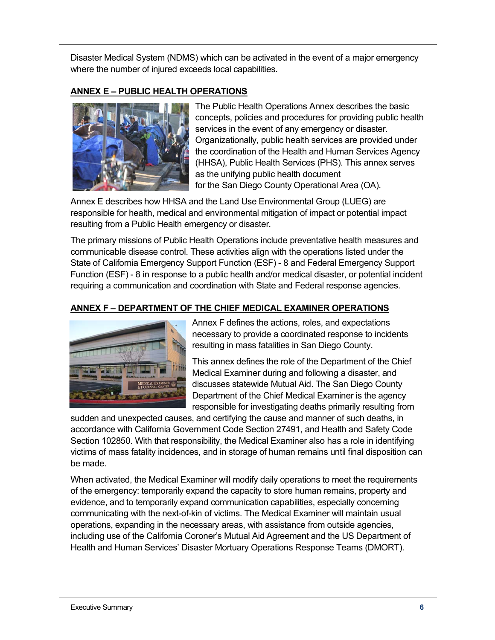Disaster Medical System (NDMS) which can be activated in the event of a major emergency where the number of injured exceeds local capabilities.

#### **ANNEX E – PUBLIC HEALTH OPERATIONS**



The Public Health Operations Annex describes the basic concepts, policies and procedures for providing public health services in the event of any emergency or disaster. Organizationally, public health services are provided under the coordination of the Health and Human Services Agency (HHSA), Public Health Services (PHS). This annex serves as the unifying public health document for the San Diego County Operational Area (OA).

Annex E describes how HHSA and the Land Use Environmental Group (LUEG) are responsible for health, medical and environmental mitigation of impact or potential impact resulting from a Public Health emergency or disaster.

The primary missions of Public Health Operations include preventative health measures and communicable disease control. These activities align with the operations listed under the State of California Emergency Support Function (ESF) - 8 and Federal Emergency Support Function (ESF) - 8 in response to a public health and/or medical disaster, or potential incident requiring a communication and coordination with State and Federal response agencies.

## **ANNEX F – DEPARTMENT OF THE CHIEF MEDICAL EXAMINER OPERATIONS**



Annex F defines the actions, roles, and expectations necessary to provide a coordinated response to incidents resulting in mass fatalities in San Diego County.

This annex defines the role of the Department of the Chief Medical Examiner during and following a disaster, and discusses statewide Mutual Aid. The San Diego County Department of the Chief Medical Examiner is the agency responsible for investigating deaths primarily resulting from

sudden and unexpected causes, and certifying the cause and manner of such deaths, in accordance with California Government Code Section 27491, and Health and Safety Code Section 102850. With that responsibility, the Medical Examiner also has a role in identifying victims of mass fatality incidences, and in storage of human remains until final disposition can be made.

When activated, the Medical Examiner will modify daily operations to meet the requirements of the emergency: temporarily expand the capacity to store human remains, property and evidence, and to temporarily expand communication capabilities, especially concerning communicating with the next-of-kin of victims. The Medical Examiner will maintain usual operations, expanding in the necessary areas, with assistance from outside agencies, including use of the California Coroner's Mutual Aid Agreement and the US Department of Health and Human Services' Disaster Mortuary Operations Response Teams (DMORT).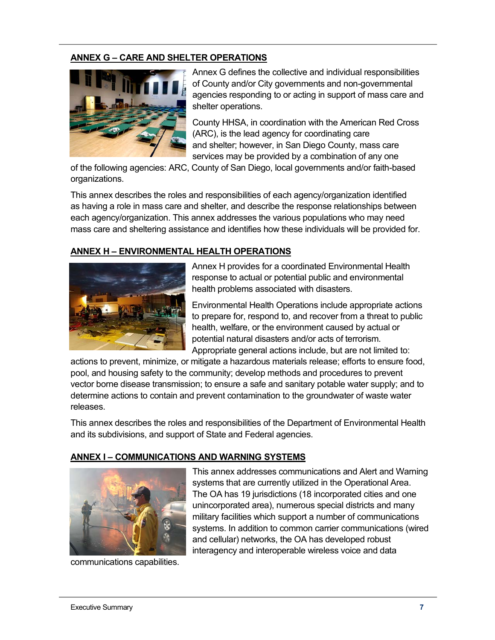#### **ANNEX G – CARE AND SHELTER OPERATIONS**



Annex G defines the collective and individual responsibilities of County and/or City governments and non-governmental agencies responding to or acting in support of mass care and shelter operations.

County HHSA, in coordination with the American Red Cross (ARC), is the lead agency for coordinating care and shelter; however, in San Diego County, mass care services may be provided by a combination of any one

of the following agencies: ARC, County of San Diego, local governments and/or faith-based organizations.

This annex describes the roles and responsibilities of each agency/organization identified as having a role in mass care and shelter, and describe the response relationships between each agency/organization. This annex addresses the various populations who may need mass care and sheltering assistance and identifies how these individuals will be provided for.

#### **ANNEX H – ENVIRONMENTAL HEALTH OPERATIONS**



Annex H provides for a coordinated Environmental Health response to actual or potential public and environmental health problems associated with disasters.

Environmental Health Operations include appropriate actions to prepare for, respond to, and recover from a threat to public health, welfare, or the environment caused by actual or potential natural disasters and/or acts of terrorism. Appropriate general actions include, but are not limited to:

actions to prevent, minimize, or mitigate a hazardous materials release; efforts to ensure food, pool, and housing safety to the community; develop methods and procedures to prevent vector borne disease transmission; to ensure a safe and sanitary potable water supply; and to determine actions to contain and prevent contamination to the groundwater of waste water releases.

This annex describes the roles and responsibilities of the Department of Environmental Health and its subdivisions, and support of State and Federal agencies.

#### **ANNEX I – COMMUNICATIONS AND WARNING SYSTEMS**



communications capabilities.

This annex addresses communications and Alert and Warning systems that are currently utilized in the Operational Area. The OA has 19 jurisdictions (18 incorporated cities and one unincorporated area), numerous special districts and many military facilities which support a number of communications systems. In addition to common carrier communications (wired and cellular) networks, the OA has developed robust interagency and interoperable wireless voice and data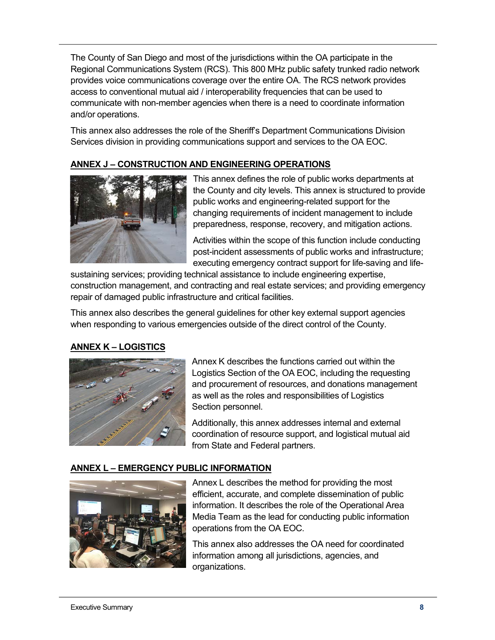The County of San Diego and most of the jurisdictions within the OA participate in the Regional Communications System (RCS). This 800 MHz public safety trunked radio network provides voice communications coverage over the entire OA. The RCS network provides access to conventional mutual aid / interoperability frequencies that can be used to communicate with non-member agencies when there is a need to coordinate information and/or operations.

This annex also addresses the role of the Sheriff's Department Communications Division Services division in providing communications support and services to the OA EOC.

## **ANNEX J – CONSTRUCTION AND ENGINEERING OPERATIONS**



This annex defines the role of public works departments at the County and city levels. This annex is structured to provide public works and engineering-related support for the changing requirements of incident management to include preparedness, response, recovery, and mitigation actions.

Activities within the scope of this function include conducting post-incident assessments of public works and infrastructure; executing emergency contract support for life-saving and life-

sustaining services; providing technical assistance to include engineering expertise, construction management, and contracting and real estate services; and providing emergency repair of damaged public infrastructure and critical facilities.

This annex also describes the general guidelines for other key external support agencies when responding to various emergencies outside of the direct control of the County.

#### **ANNEX K – LOGISTICS**



Annex K describes the functions carried out within the Logistics Section of the OA EOC, including the requesting and procurement of resources, and donations management as well as the roles and responsibilities of Logistics Section personnel.

Additionally, this annex addresses internal and external coordination of resource support, and logistical mutual aid from State and Federal partners.

#### **ANNEX L – EMERGENCY PUBLIC INFORMATION**



Annex L describes the method for providing the most efficient, accurate, and complete dissemination of public information. It describes the role of the Operational Area Media Team as the lead for conducting public information operations from the OA EOC.

This annex also addresses the OA need for coordinated information among all jurisdictions, agencies, and organizations.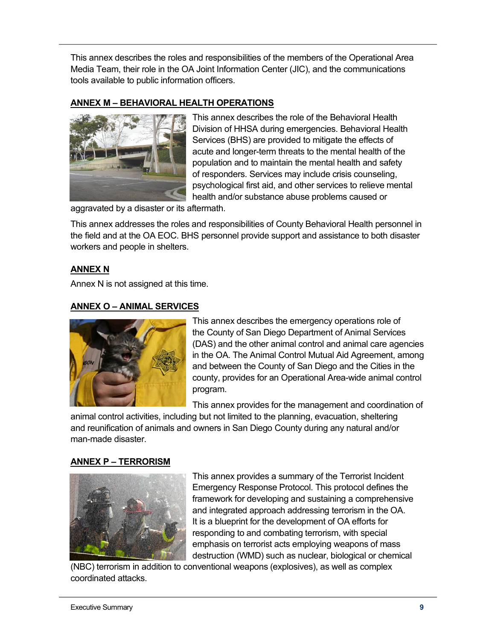This annex describes the roles and responsibilities of the members of the Operational Area Media Team, their role in the OA Joint Information Center (JIC), and the communications tools available to public information officers.

## **ANNEX M – BEHAVIORAL HEALTH OPERATIONS**



This annex describes the role of the Behavioral Health Division of HHSA during emergencies. Behavioral Health Services (BHS) are provided to mitigate the effects of acute and longer-term threats to the mental health of the population and to maintain the mental health and safety of responders. Services may include crisis counseling, psychological first aid, and other services to relieve mental health and/or substance abuse problems caused or

aggravated by a disaster or its aftermath.

This annex addresses the roles and responsibilities of County Behavioral Health personnel in the field and at the OA EOC. BHS personnel provide support and assistance to both disaster workers and people in shelters.

## **ANNEX N**

Annex N is not assigned at this time.

#### **ANNEX O – ANIMAL SERVICES**



This annex describes the emergency operations role of the County of San Diego Department of Animal Services (DAS) and the other animal control and animal care agencies in the OA. The Animal Control Mutual Aid Agreement, among and between the County of San Diego and the Cities in the county, provides for an Operational Area-wide animal control program.

This annex provides for the management and coordination of

animal control activities, including but not limited to the planning, evacuation, sheltering and reunification of animals and owners in San Diego County during any natural and/or man-made disaster.

#### **ANNEX P – TERRORISM**



This annex provides a summary of the Terrorist Incident Emergency Response Protocol. This protocol defines the framework for developing and sustaining a comprehensive and integrated approach addressing terrorism in the OA. It is a blueprint for the development of OA efforts for responding to and combating terrorism, with special emphasis on terrorist acts employing weapons of mass destruction (WMD) such as nuclear, biological or chemical

(NBC) terrorism in addition to conventional weapons (explosives), as well as complex coordinated attacks.